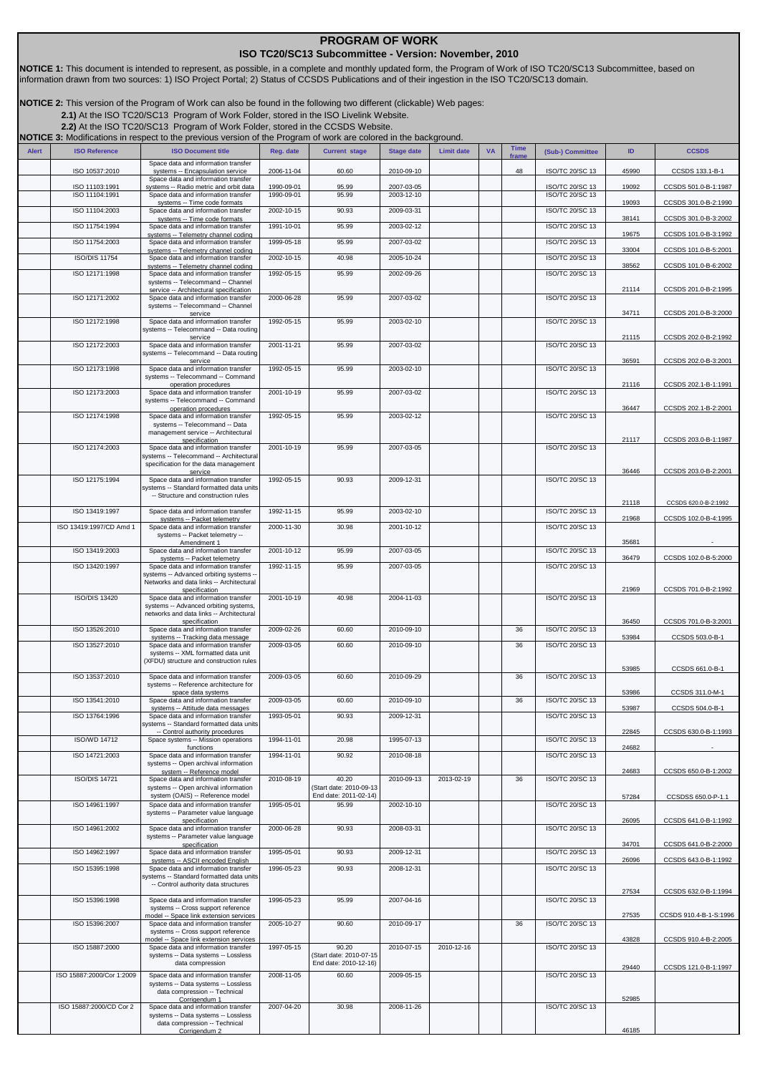## **PROGRAM OF WORK**

## **ISO TC20/SC13 Subcommittee - Version: November, 2010**

**NOTICE 1:** This document is intended to represent, as possible, in a complete and monthly updated form, the Program of Work of ISO TC20/SC13 Subcommittee, based on information drawn from two sources: 1) ISO Project Portal; 2) Status of CCSDS Publications and of their ingestion in the ISO TC20/SC13 domain.

**NOTICE 2:** This version of the Program of Work can also be found in the following two different (clickable) Web pages:

**[2.1\)](http://isotc.iso.org/livelink/livelink?func=ll&objId=8791604&objAction=browse&sort=name)**At the ISO TC20/SC13 Program of Work Folder, stored in the ISO Livelink Website.

**[2.2\)](http://cwe.ccsds.org/cmc/docs/Forms/AllItems.aspx?RootFolder=%2fcmc%2fdocs%2fISO%20TC20%2dSC13%2fISO%20TC20%2dSC13%20Meeting%20Minutes%20and%20Presentations&FolderCTID=&View=%7bD5DD30F7%2d53FC%2d45B9%2d8B93%2d709B280A475B%7d)**At the ISO TC20/SC13 Program of Work Folder, stored in the CCSDS Website.

|              |                           | <b>NOTICE 3:</b> Modifications in respect to the previous version of the Program of work are colored in the background. |            |                                  |                   |                   |           |             |                        |       |                        |
|--------------|---------------------------|-------------------------------------------------------------------------------------------------------------------------|------------|----------------------------------|-------------------|-------------------|-----------|-------------|------------------------|-------|------------------------|
| <b>Alert</b> | <b>ISO Reference</b>      | <b>ISO Document title</b>                                                                                               | Reg. date  | <b>Current stage</b>             | <b>Stage date</b> | <b>Limit date</b> | <b>VA</b> | <b>Time</b> | (Sub-) Committee       | ID    | <b>CCSDS</b>           |
|              |                           | Space data and information transfer                                                                                     |            |                                  |                   |                   |           | frame       |                        |       |                        |
|              | ISO 10537:2010            | systems -- Encapsulation service<br>Space data and information transfer                                                 | 2006-11-04 | 60.60                            | 2010-09-10        |                   |           | 48          | ISO/TC 20/SC 13        | 45990 | CCSDS 133.1-B-1        |
|              | ISO 11103:1991            | systems -- Radio metric and orbit data                                                                                  | 1990-09-01 | 95.99                            | 2007-03-05        |                   |           |             | ISO/TC 20/SC 13        | 19092 | CCSDS 501.0-B-1:1987   |
|              | ISO 11104:1991            | Space data and information transfer<br>systems -- Time code formats                                                     | 1990-09-01 | 95.99                            | 2003-12-10        |                   |           |             | ISO/TC 20/SC 13        | 19093 | CCSDS 301.0-B-2:1990   |
|              | ISO 11104:2003            | Space data and information transfer                                                                                     | 2002-10-15 | 90.93                            | 2009-03-31        |                   |           |             | <b>ISO/TC 20/SC 13</b> |       |                        |
|              | ISO 11754:1994            | systems -- Time code formats<br>Space data and information transfer                                                     | 1991-10-01 | 95.99                            | 2003-02-12        |                   |           |             | ISO/TC 20/SC 13        | 38141 | CCSDS 301.0-B-3:2002   |
|              | ISO 11754:2003            | systems -- Telemetry channel coding<br>Space data and information transfer                                              | 1999-05-18 | 95.99                            | 2007-03-02        |                   |           |             | ISO/TC 20/SC 13        | 19675 | CCSDS 101.0-B-3:1992   |
|              |                           | systems -- Telemetry channel coding                                                                                     |            |                                  |                   |                   |           |             |                        | 33004 | CCSDS 101.0-B-5:2001   |
|              | <b>ISO/DIS 11754</b>      | Space data and information transfer<br>systems -- Telemetry channel coding                                              | 2002-10-15 | 40.98                            | 2005-10-24        |                   |           |             | ISO/TC 20/SC 13        | 38562 | CCSDS 101.0-B-6:2002   |
|              | ISO 12171:1998            | Space data and information transfer                                                                                     | 1992-05-15 | 95.99                            | 2002-09-26        |                   |           |             | ISO/TC 20/SC 13        |       |                        |
|              |                           | systems -- Telecommand -- Channel<br>service -- Architectural specification                                             |            |                                  |                   |                   |           |             |                        | 21114 | CCSDS 201.0-B-2:1995   |
|              | ISO 12171:2002            | Space data and information transfer                                                                                     | 2000-06-28 | 95.99                            | 2007-03-02        |                   |           |             | <b>ISO/TC 20/SC 13</b> |       |                        |
|              |                           | systems -- Telecommand -- Channel<br>service                                                                            |            |                                  |                   |                   |           |             |                        | 34711 | CCSDS 201.0-B-3:2000   |
|              | ISO 12172:1998            | Space data and information transfer<br>systems -- Telecommand -- Data routing                                           | 1992-05-15 | 95.99                            | 2003-02-10        |                   |           |             | ISO/TC 20/SC 13        |       |                        |
|              |                           | service                                                                                                                 |            |                                  |                   |                   |           |             |                        | 21115 | CCSDS 202.0-B-2:1992   |
|              | ISO 12172:2003            | Space data and information transfer<br>systems -- Telecommand -- Data routing                                           | 2001-11-21 | 95.99                            | 2007-03-02        |                   |           |             | ISO/TC 20/SC 13        |       |                        |
|              | ISO 12173:1998            | service<br>Space data and information transfer                                                                          | 1992-05-15 | 95.99                            | 2003-02-10        |                   |           |             | ISO/TC 20/SC 13        | 36591 | CCSDS 202.0-B-3:2001   |
|              |                           | systems -- Telecommand -- Command                                                                                       |            |                                  |                   |                   |           |             |                        |       |                        |
|              | ISO 12173:2003            | operation procedures<br>Space data and information transfer                                                             | 2001-10-19 | 95.99                            | 2007-03-02        |                   |           |             | <b>ISO/TC 20/SC 13</b> | 21116 | CCSDS 202.1-B-1:1991   |
|              |                           | systems -- Telecommand -- Command                                                                                       |            |                                  |                   |                   |           |             |                        |       |                        |
|              | ISO 12174:1998            | operation procedures<br>Space data and information transfer                                                             | 1992-05-15 | 95.99                            | 2003-02-12        |                   |           |             | ISO/TC 20/SC 13        | 36447 | CCSDS 202.1-B-2:2001   |
|              |                           | systems -- Telecommand -- Data                                                                                          |            |                                  |                   |                   |           |             |                        |       |                        |
|              |                           | management service -- Architectural<br>specification                                                                    |            |                                  |                   |                   |           |             |                        | 21117 | CCSDS 203.0-B-1:1987   |
|              | ISO 12174:2003            | Space data and information transfer                                                                                     | 2001-10-19 | 95.99                            | 2007-03-05        |                   |           |             | ISO/TC 20/SC 13        |       |                        |
|              |                           | systems -- Telecommand -- Architectural<br>specification for the data management                                        |            |                                  |                   |                   |           |             |                        |       |                        |
|              | ISO 12175:1994            | service<br>Space data and information transfer                                                                          | 1992-05-15 | 90.93                            | 2009-12-31        |                   |           |             | ISO/TC 20/SC 13        | 36446 | CCSDS 203.0-B-2:2001   |
|              |                           | systems -- Standard formatted data units                                                                                |            |                                  |                   |                   |           |             |                        |       |                        |
|              |                           | -- Structure and construction rules                                                                                     |            |                                  |                   |                   |           |             |                        | 21118 | CCSDS 620.0-B-2:1992   |
|              | ISO 13419:1997            | Space data and information transfer                                                                                     | 1992-11-15 | 95.99                            | 2003-02-10        |                   |           |             | ISO/TC 20/SC 13        | 21968 | CCSDS 102.0-B-4:1995   |
|              | ISO 13419:1997/CD Amd 1   | systems -- Packet telemetry<br>Space data and information transfer                                                      | 2000-11-30 | 30.98                            | 2001-10-12        |                   |           |             | <b>ISO/TC 20/SC 13</b> |       |                        |
|              |                           | systems -- Packet telemetry --<br>Amendment 1                                                                           |            |                                  |                   |                   |           |             |                        | 35681 |                        |
|              | ISO 13419:2003            | Space data and information transfer                                                                                     | 2001-10-12 | 95.99                            | 2007-03-05        |                   |           |             | ISO/TC 20/SC 13        |       |                        |
|              | ISO 13420:1997            | systems -- Packet telemetry<br>Space data and information transfer                                                      | 1992-11-15 | 95.99                            | 2007-03-05        |                   |           |             | ISO/TC 20/SC 13        | 36479 | CCSDS 102.0-B-5:2000   |
|              |                           | systems -- Advanced orbiting systems --                                                                                 |            |                                  |                   |                   |           |             |                        |       |                        |
|              |                           | Networks and data links -- Architectural<br>specification                                                               |            |                                  |                   |                   |           |             |                        | 21969 | CCSDS 701.0-B-2:1992   |
|              | ISO/DIS 13420             | Space data and information transfer<br>systems -- Advanced orbiting systems,                                            | 2001-10-19 | 40.98                            | 2004-11-03        |                   |           |             | ISO/TC 20/SC 13        |       |                        |
|              |                           | networks and data links -- Architectural                                                                                |            |                                  |                   |                   |           |             |                        |       |                        |
|              | ISO 13526:2010            | specification<br>Space data and information transfer                                                                    | 2009-02-26 | 60.60                            | 2010-09-10        |                   |           | 36          | <b>ISO/TC 20/SC 13</b> | 36450 | CCSDS 701.0-B-3:2001   |
|              |                           | systems -- Tracking data message                                                                                        |            |                                  |                   |                   |           |             |                        | 53984 | CCSDS 503.0-B-1        |
|              | ISO 13527:2010            | Space data and information transfer<br>systems -- XML formatted data unit                                               | 2009-03-05 | 60.60                            | 2010-09-10        |                   |           | 36          | <b>ISO/TC 20/SC 13</b> |       |                        |
|              |                           | (XFDU) structure and construction rules                                                                                 |            |                                  |                   |                   |           |             |                        | 53985 | CCSDS 661.0-B-1        |
|              | ISO 13537:2010            | Space data and information transfer                                                                                     | 2009-03-05 | 60.60                            | 2010-09-29        |                   |           | 36          | <b>ISO/TC 20/SC 13</b> |       |                        |
|              |                           | systems -- Reference architecture for<br>space data systems                                                             |            |                                  |                   |                   |           |             |                        | 53986 | CCSDS 311.0-M-1        |
|              | ISO 13541:2010            | Space data and information transfer                                                                                     | 2009-03-05 | 60.60                            | 2010-09-10        |                   |           | 36          | <b>ISO/TC 20/SC 13</b> |       |                        |
|              | ISO 13764:1996            | <u>systems -- Attıtude data messaqes</u><br>Space data and information transfer                                         | 1993-05-01 | 90.93                            | 2009-12-31        |                   |           |             | <b>ISO/TC 20/SC 13</b> | 53987 | CCSDS 504.0-B-1        |
|              |                           | systems -- Standard formatted data units<br>-- Control authority procedures                                             |            |                                  |                   |                   |           |             |                        | 22845 | CCSDS 630.0-B-1:1993   |
|              | ISO/WD 14712              | Space systems -- Mission operations                                                                                     | 1994-11-01 | 20.98                            | 1995-07-13        |                   |           |             | ISO/TC 20/SC 13        |       |                        |
|              | ISO 14721:2003            | functions<br>Space data and information transfer                                                                        | 1994-11-01 | 90.92                            | 2010-08-18        |                   |           |             | <b>ISO/TC 20/SC 13</b> | 24682 |                        |
|              |                           | systems -- Open archival information                                                                                    |            |                                  |                   |                   |           |             |                        |       |                        |
|              | <b>ISO/DIS 14721</b>      | system -- Reference model<br>Space data and information transfer                                                        | 2010-08-19 | 40.20                            | 2010-09-13        | 2013-02-19        |           | 36          | <b>ISO/TC 20/SC 13</b> | 24683 | CCSDS 650.0-B-1:2002   |
|              |                           | systems -- Open archival information                                                                                    |            | (Start date: 2010-09-13          |                   |                   |           |             |                        |       |                        |
|              | ISO 14961:1997            | system (OAIS) -- Reference model<br>Space data and information transfer                                                 | 1995-05-01 | End date: 2011-02-14)<br>95.99   | 2002-10-10        |                   |           |             | <b>ISO/TC 20/SC 13</b> | 57284 | CCSDSS 650.0-P-1.1     |
|              |                           | systems -- Parameter value language                                                                                     |            |                                  |                   |                   |           |             |                        |       |                        |
|              | ISO 14961:2002            | specification<br>Space data and information transfer                                                                    | 2000-06-28 | 90.93                            | 2008-03-31        |                   |           |             | <b>ISO/TC 20/SC 13</b> | 26095 | CCSDS 641.0-B-1:1992   |
|              |                           | systems -- Parameter value language                                                                                     |            |                                  |                   |                   |           |             |                        | 34701 | CCSDS 641.0-B-2:2000   |
|              | ISO 14962:1997            | specification<br>Space data and information transfer                                                                    | 1995-05-01 | 90.93                            | 2009-12-31        |                   |           |             | ISO/TC 20/SC 13        |       |                        |
|              | ISO 15395:1998            | systems -- ASCII encoded English<br>Space data and information transfer                                                 | 1996-05-23 | 90.93                            | 2008-12-31        |                   |           |             | ISO/TC 20/SC 13        | 26096 | CCSDS 643.0-B-1:1992   |
|              |                           | systems -- Standard formatted data units                                                                                |            |                                  |                   |                   |           |             |                        |       |                        |
|              |                           | -- Control authority data structures                                                                                    |            |                                  |                   |                   |           |             |                        | 27534 | CCSDS 632.0-B-1:1994   |
|              | ISO 15396:1998            | Space data and information transfer                                                                                     | 1996-05-23 | 95.99                            | 2007-04-16        |                   |           |             | <b>ISO/TC 20/SC 13</b> |       |                        |
|              |                           | systems -- Cross support reference<br>model -- Space link extension services                                            |            |                                  |                   |                   |           |             |                        | 27535 | CCSDS 910.4-B-1-S:1996 |
|              | ISO 15396:2007            | Space data and information transfer                                                                                     | 2005-10-27 | 90.60                            | 2010-09-17        |                   |           | 36          | ISO/TC 20/SC 13        |       |                        |
|              |                           | systems -- Cross support reference<br>model -- Space link extension services                                            |            |                                  |                   |                   |           |             |                        | 43828 | CCSDS 910.4-B-2:2005   |
|              | ISO 15887:2000            | Space data and information transfer<br>systems -- Data systems -- Lossless                                              | 1997-05-15 | 90.20<br>(Start date: 2010-07-15 | 2010-07-15        | 2010-12-16        |           |             | ISO/TC 20/SC 13        |       |                        |
|              |                           | data compression                                                                                                        |            | End date: 2010-12-16)            |                   |                   |           |             |                        | 29440 | CCSDS 121.0-B-1:1997   |
|              | ISO 15887:2000/Cor 1:2009 | Space data and information transfer                                                                                     | 2008-11-05 | 60.60                            | 2009-05-15        |                   |           |             | ISO/TC 20/SC 13        |       |                        |
|              |                           | systems -- Data systems -- Lossless<br>data compression -- Technical                                                    |            |                                  |                   |                   |           |             |                        |       |                        |
|              | ISO 15887:2000/CD Cor 2   | Corrigendum 1                                                                                                           | 2007-04-20 | 30.98                            | 2008-11-26        |                   |           |             | <b>ISO/TC 20/SC 13</b> | 52985 |                        |
|              |                           | Space data and information transfer<br>systems -- Data systems -- Lossless                                              |            |                                  |                   |                   |           |             |                        |       |                        |
|              |                           | data compression -- Technical<br>Corrigendum 2                                                                          |            |                                  |                   |                   |           |             |                        | 46185 |                        |
|              |                           |                                                                                                                         |            |                                  |                   |                   |           |             |                        |       |                        |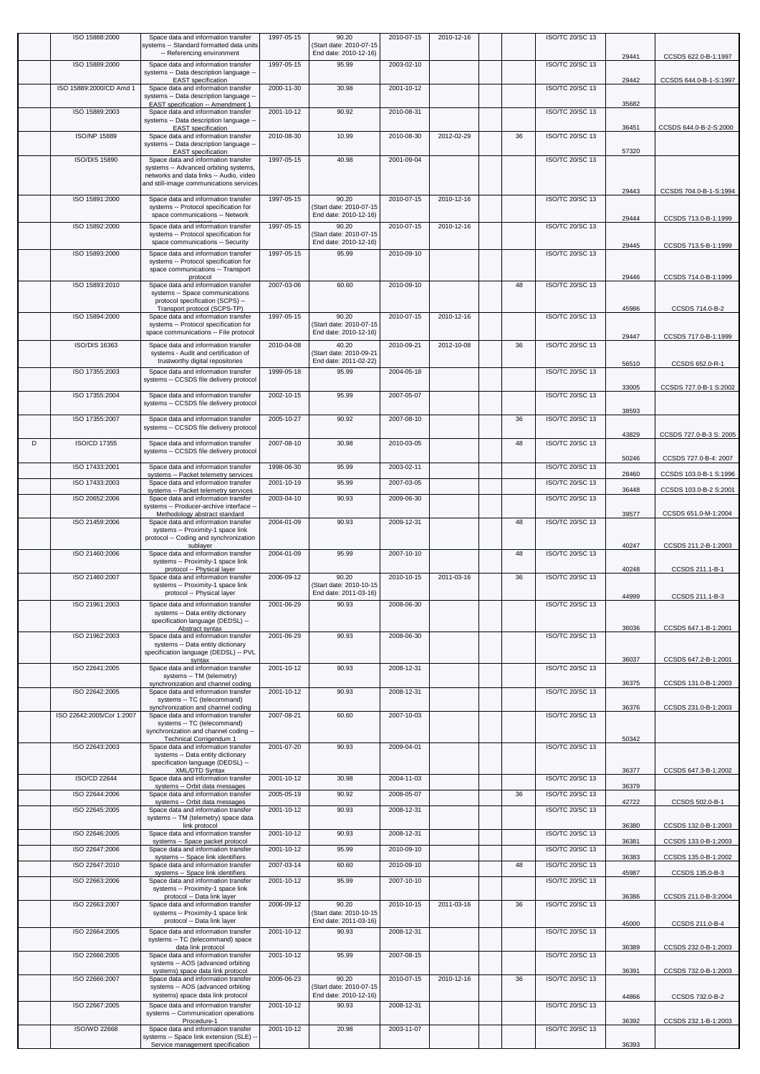|   | ISO 15888:2000            | Space data and information transfer<br>systems -- Standard formatted data units      | 1997-05-15 | 90.20<br>(Start date: 2010-07-15                 | 2010-07-15 | 2010-12-16 |    | ISO/TC 20/SC 13        |       |                         |
|---|---------------------------|--------------------------------------------------------------------------------------|------------|--------------------------------------------------|------------|------------|----|------------------------|-------|-------------------------|
|   | ISO 15889:2000            | -- Referencing environment<br>Space data and information transfer                    | 1997-05-15 | End date: 2010-12-16)<br>95.99                   | 2003-02-10 |            |    | <b>ISO/TC 20/SC 13</b> | 29441 | CCSDS 622.0-B-1:1997    |
|   |                           | systems -- Data description language -<br><b>EAST</b> specification                  |            |                                                  |            |            |    |                        | 29442 | CCSDS 644.0-B-1-S:1997  |
|   | ISO 15889:2000/CD Amd 1   | Space data and information transfer<br>systems -- Data description language -        | 2000-11-30 | 30.98                                            | 2001-10-12 |            |    | ISO/TC 20/SC 13        |       |                         |
|   | ISO 15889:2003            | EAST specification -- Amendment 1<br>Space data and information transfer             | 2001-10-12 | 90.92                                            | 2010-08-31 |            |    | ISO/TC 20/SC 13        | 35682 |                         |
|   |                           | systems -- Data description language -<br><b>EAST</b> specification                  |            |                                                  |            |            |    |                        | 36451 | CCSDS 644.0-B-2-S:2000  |
|   | ISO/NP 15889              | Space data and information transfer<br>systems -- Data description language -        | 2010-08-30 | 10.99                                            | 2010-08-30 | 2012-02-29 | 36 | ISO/TC 20/SC 13        |       |                         |
|   | <b>ISO/DIS 15890</b>      | <b>EAST</b> specification                                                            | 1997-05-15 | 40.98                                            |            |            |    | ISO/TC 20/SC 13        | 57320 |                         |
|   |                           | Space data and information transfer<br>systems -- Advanced orbiting systems,         |            |                                                  | 2001-09-04 |            |    |                        |       |                         |
|   |                           | networks and data links -- Audio, video<br>and still-image communications services   |            |                                                  |            |            |    |                        |       |                         |
|   | ISO 15891:2000            | Space data and information transfer                                                  | 1997-05-15 | 90.20                                            | 2010-07-15 | 2010-12-16 |    | <b>ISO/TC 20/SC 13</b> | 29443 | CCSDS 704.0-B-1-S:1994  |
|   |                           | systems -- Protocol specification for<br>space communications -- Network             |            | (Start date: 2010-07-15<br>End date: 2010-12-16) |            |            |    |                        | 29444 | CCSDS 713.0-B-1:1999    |
|   | ISO 15892:2000            | Space data and information transfer<br>systems -- Protocol specification for         | 1997-05-15 | 90.20<br>(Start date: 2010-07-15                 | 2010-07-15 | 2010-12-16 |    | <b>ISO/TC 20/SC 13</b> |       |                         |
|   | ISO 15893:2000            | space communications -- Security                                                     | 1997-05-15 | End date: 2010-12-16)<br>95.99                   | 2010-09-10 |            |    | ISO/TC 20/SC 13        | 29445 | CCSDS 713.5-B-1:1999    |
|   |                           | Space data and information transfer<br>systems -- Protocol specification for         |            |                                                  |            |            |    |                        |       |                         |
|   | ISO 15893:2010            | space communications -- Transport<br>protocol<br>Space data and information transfer | 2007-03-06 | 60.60                                            | 2010-09-10 |            | 48 | ISO/TC 20/SC 13        | 29446 | CCSDS 714.0-B-1:1999    |
|   |                           | systems -- Space communications                                                      |            |                                                  |            |            |    |                        |       |                         |
|   |                           | protocol specification (SCPS) --<br>Transport protocol (SCPS-TP)                     | 1997-05-15 |                                                  |            |            |    |                        | 45986 | CCSDS 714.0-B-2         |
|   | ISO 15894:2000            | Space data and information transfer<br>systems -- Protocol specification for         |            | 90.20<br>(Start date: 2010-07-15                 | 2010-07-15 | 2010-12-16 |    | ISO/TC 20/SC 13        |       |                         |
|   | ISO/DIS 16363             | space communications -- File protocol<br>Space data and information transfer         | 2010-04-08 | End date: 2010-12-16)<br>40.20                   | 2010-09-21 | 2012-10-08 | 36 | ISO/TC 20/SC 13        | 29447 | CCSDS 717.0-B-1:1999    |
|   |                           | systems - Audit and certification of<br>trustworthy digital repositories             |            | (Start date: 2010-09-21<br>End date: 2011-02-22) |            |            |    |                        |       |                         |
|   | ISO 17355:2003            | Space data and information transfer                                                  | 1999-05-18 | 95.99                                            | 2004-05-18 |            |    | <b>ISO/TC 20/SC 13</b> | 56510 | CCSDS 652.0-R-1         |
|   |                           | systems -- CCSDS file delivery protocol                                              |            |                                                  |            |            |    |                        | 33005 | CCSDS 727.0-B-1 S:2002  |
|   | ISO 17355:2004            | Space data and information transfer<br>systems -- CCSDS file delivery protocol       | 2002-10-15 | 95.99                                            | 2007-05-07 |            |    | ISO/TC 20/SC 13        |       |                         |
|   | ISO 17355:2007            | Space data and information transfer                                                  | 2005-10-27 | 90.92                                            | 2007-08-10 |            | 36 | ISO/TC 20/SC 13        | 38593 |                         |
|   |                           | systems -- CCSDS file delivery protocol                                              |            |                                                  |            |            |    |                        | 43829 | CCSDS 727.0-B-3 S: 2005 |
| D | ISO/CD 17355              | Space data and information transfer<br>systems -- CCSDS file delivery protocol       | 2007-08-10 | 30.98                                            | 2010-03-05 |            | 48 | ISO/TC 20/SC 13        |       |                         |
|   | ISO 17433:2001            | Space data and information transfer                                                  | 1998-06-30 | 95.99                                            | 2003-02-11 |            |    | ISO/TC 20/SC 13        | 50246 | CCSDS 727.0-B-4: 2007   |
|   | ISO 17433:2003            | systems -- Packet telemetry services<br>Space data and information transfer          | 2001-10-19 | 95.99                                            | 2007-03-05 |            |    | ISO/TC 20/SC 13        | 28460 | CCSDS 103.0-B-1 S:1996  |
|   | ISO 20652:2006            | systems -- Packet telemetry services<br>Space data and information transfer          | 2003-04-10 | 90.93                                            | 2009-06-30 |            |    | ISO/TC 20/SC 13        | 36448 | CCSDS 103.0-B-2 S:2001  |
|   |                           | systems -- Producer-archive interface -<br>Methodology abstract standard             |            |                                                  |            |            |    |                        | 39577 | CCSDS 651.0-M-1:2004    |
|   | ISO 21459:2006            | Space data and information transfer<br>systems -- Proximity-1 space link             | 2004-01-09 | 90.93                                            | 2009-12-31 |            | 48 | ISO/TC 20/SC 13        |       |                         |
|   |                           | protocol -- Coding and synchronization<br>sublayer                                   |            |                                                  |            |            |    |                        | 40247 | CCSDS 211.2-B-1:2003    |
|   | ISO 21460:2006            | Space data and information transfer<br>systems -- Proximity-1 space link             | 2004-01-09 | 95.99                                            | 2007-10-10 |            | 48 | <b>ISO/TC 20/SC 13</b> |       |                         |
|   | ISO 21460:2007            | protocol -- Physical layer<br>Space data and information transfer                    | 2006-09-12 | 90.20                                            | 2010-10-15 | 2011-03-16 | 36 | ISO/TC 20/SC 13        | 40248 | CCSDS 211.1-B-1         |
|   |                           | systems -- Proximity-1 space link<br>protocol -- Physical layer                      |            | (Start date: 2010-10-15<br>End date: 2011-03-16) |            |            |    |                        | 44999 | CCSDS 211.1-B-3         |
|   | ISO 21961:2003            | Space data and information transfer<br>systems -- Data entity dictionary             | 2001-06-29 | 90.93                                            | 2008-06-30 |            |    | ISO/TC 20/SC 13        |       |                         |
|   |                           | specification language (DEDSL) --<br>Abstract syntax                                 |            |                                                  |            |            |    |                        | 36036 | CCSDS 647.1-B-1:2001    |
|   | ISO 21962:2003            | Space data and information transfer<br>systems -- Data entity dictionary             | 2001-06-29 | 90.93                                            | 2008-06-30 |            |    | ISO/TC 20/SC 13        |       |                         |
|   |                           | specification language (DEDSL) -- PVL<br>syntax                                      |            |                                                  |            |            |    |                        | 36037 | CCSDS 647.2-B-1:2001    |
|   | ISO 22641:2005            | Space data and information transfer<br>systems -- TM (telemetry)                     | 2001-10-12 | 90.93                                            | 2008-12-31 |            |    | ISO/TC 20/SC 13        |       |                         |
|   | ISO 22642:2005            | synchronization and channel coding<br>Space data and information transfer            | 2001-10-12 | 90.93                                            | 2008-12-31 |            |    | ISO/TC 20/SC 13        | 36375 | CCSDS 131.0-B-1:2003    |
|   |                           | systems -- TC (telecommand)<br>synchronization and channel coding                    |            |                                                  |            |            |    |                        | 36376 | CCSDS 231.0-B-1:2003    |
|   | ISO 22642:2005/Cor 1:2007 | Space data and information transfer<br>systems -- TC (telecommand)                   | 2007-08-21 | 60.60                                            | 2007-10-03 |            |    | ISO/TC 20/SC 13        |       |                         |
|   |                           | synchronization and channel coding --<br><b>Technical Corrigendum 1</b>              |            |                                                  |            |            |    |                        | 50342 |                         |
|   | ISO 22643:2003            | Space data and information transfer<br>systems -- Data entity dictionary             | 2001-07-20 | 90.93                                            | 2009-04-01 |            |    | ISO/TC 20/SC 13        |       |                         |
|   |                           | specification language (DEDSL) --<br>XML/DTD Syntax                                  |            |                                                  |            |            |    |                        | 36377 | CCSDS 647.3-B-1:2002    |
|   | ISO/CD 22644              | Space data and information transfer<br>systems -- Orbit data messages                | 2001-10-12 | 30.98                                            | 2004-11-03 |            |    | ISO/TC 20/SC 13        | 36379 |                         |
|   | ISO 22644:2006            | Space data and information transfer<br>systems -- Orbit data messages                | 2005-05-19 | 90.92                                            | 2008-05-07 |            | 36 | ISO/TC 20/SC 13        | 42722 | CCSDS 502.0-B-1         |
|   | ISO 22645:2005            | Space data and information transfer<br>systems -- TM (telemetry) space data          | 2001-10-12 | 90.93                                            | 2008-12-31 |            |    | ISO/TC 20/SC 13        |       |                         |
|   | ISO 22646:2005            | link protocol<br>Space data and information transfer                                 | 2001-10-12 | 90.93                                            | 2008-12-31 |            |    | ISO/TC 20/SC 13        | 36380 | CCSDS 132.0-B-1:2003    |
|   | ISO 22647:2006            | systems -- Space packet protocol<br>Space data and information transfer              | 2001-10-12 | 95.99                                            | 2010-09-10 |            |    | ISO/TC 20/SC 13        | 36381 | CCSDS 133.0-B-1:2003    |
|   | ISO 22647:2010            | systems -- Space link identifiers<br>Space data and information transfer             | 2007-03-14 | 60.60                                            | 2010-09-10 |            | 48 | ISO/TC 20/SC 13        | 36383 | CCSDS 135.0-B-1:2002    |
|   | ISO 22663:2006            | systems -- Space link identifiers<br>Space data and information transfer             | 2001-10-12 | 95.99                                            | 2007-10-10 |            |    | ISO/TC 20/SC 13        | 45987 | CCSDS 135.0-B-3         |
|   |                           | systems -- Proximity-1 space link<br>protocol -- Data link layer                     |            |                                                  |            |            |    |                        | 36386 | CCSDS 211.0-B-3:2004    |
|   | ISO 22663:2007            | Space data and information transfer<br>systems -- Proximity-1 space link             | 2006-09-12 | 90.20<br>(Start date: 2010-10-15                 | 2010-10-15 | 2011-03-16 | 36 | ISO/TC 20/SC 13        |       |                         |
|   |                           | protocol -- Data link layer                                                          |            | End date: 2011-03-16)                            |            |            |    |                        | 45000 | CCSDS 211.0-B-4         |
|   | ISO 22664:2005            | Space data and information transfer<br>systems -- TC (telecommand) space             | 2001-10-12 | 90.93                                            | 2008-12-31 |            |    | ISO/TC 20/SC 13        |       |                         |
|   | ISO 22666:2005            | data link protocol<br>Space data and information transfer                            | 2001-10-12 | 95.99                                            | 2007-08-15 |            |    | ISO/TC 20/SC 13        | 36389 | CCSDS 232.0-B-1:2003    |
|   |                           | systems -- AOS (advanced orbiting<br>systems) space data link protocol               |            |                                                  |            |            |    |                        | 36391 | CCSDS 732.0-B-1:2003    |
|   | ISO 22666:2007            | Space data and information transfer<br>systems -- AOS (advanced orbiting             | 2006-06-23 | 90.20<br>(Start date: 2010-07-15                 | 2010-07-15 | 2010-12-16 | 36 | ISO/TC 20/SC 13        |       |                         |
|   | ISO 22667:2005            | systems) space data link protocol<br>Space data and information transfer             | 2001-10-12 | End date: 2010-12-16)<br>90.93                   | 2008-12-31 |            |    | ISO/TC 20/SC 13        | 44866 | CCSDS 732.0-B-2         |
|   |                           | systems -- Communication operations<br>Procedure-1                                   |            |                                                  |            |            |    |                        | 36392 | CCSDS 232.1-B-1:2003    |
|   | ISO/WD 22668              | Space data and information transfer<br>systems -- Space link extension (SLE) -       | 2001-10-12 | 20.98                                            | 2003-11-07 |            |    | ISO/TC 20/SC 13        |       |                         |
|   |                           | Service management specification                                                     |            |                                                  |            |            |    |                        | 36393 |                         |